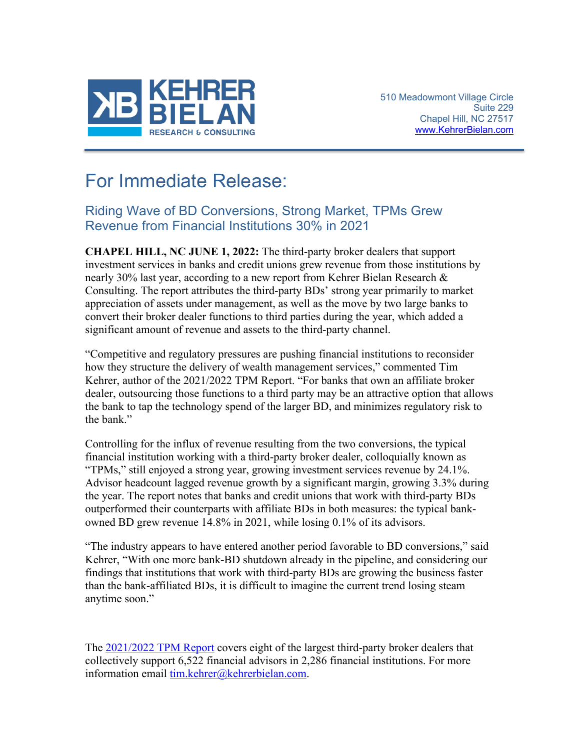

## For Immediate Release:

## Riding Wave of BD Conversions, Strong Market, TPMs Grew Revenue from Financial Institutions 30% in 2021

**CHAPEL HILL, NC JUNE 1, 2022:** The third-party broker dealers that support investment services in banks and credit unions grew revenue from those institutions by nearly 30% last year, according to a new report from Kehrer Bielan Research & Consulting. The report attributes the third-party BDs' strong year primarily to market appreciation of assets under management, as well as the move by two large banks to convert their broker dealer functions to third parties during the year, which added a significant amount of revenue and assets to the third-party channel.

"Competitive and regulatory pressures are pushing financial institutions to reconsider how they structure the delivery of wealth management services," commented Tim Kehrer, author of the 2021/2022 TPM Report. "For banks that own an affiliate broker dealer, outsourcing those functions to a third party may be an attractive option that allows the bank to tap the technology spend of the larger BD, and minimizes regulatory risk to the bank."

Controlling for the influx of revenue resulting from the two conversions, the typical financial institution working with a third-party broker dealer, colloquially known as "TPMs," still enjoyed a strong year, growing investment services revenue by 24.1%. Advisor headcount lagged revenue growth by a significant margin, growing 3.3% during the year. The report notes that banks and credit unions that work with third-party BDs outperformed their counterparts with affiliate BDs in both measures: the typical bankowned BD grew revenue 14.8% in 2021, while losing 0.1% of its advisors.

"The industry appears to have entered another period favorable to BD conversions," said Kehrer, "With one more bank-BD shutdown already in the pipeline, and considering our findings that institutions that work with third-party BDs are growing the business faster than the bank-affiliated BDs, it is difficult to imagine the current trend losing steam anytime soon."

The [2021/2022 TPM Report](https://kehrerbielan.com/original-award-winning-research/annual-tpm-report-2021-2022?utm_source=Website&utm_medium=Press+Release&utm_campaign=TPMReport2022PR) covers eight of the largest third-party broker dealers that collectively support 6,522 financial advisors in 2,286 financial institutions. For more information email [tim.kehrer@kehrerbielan.com.](mailto:tim.kehrer@kehrerbielan.com)